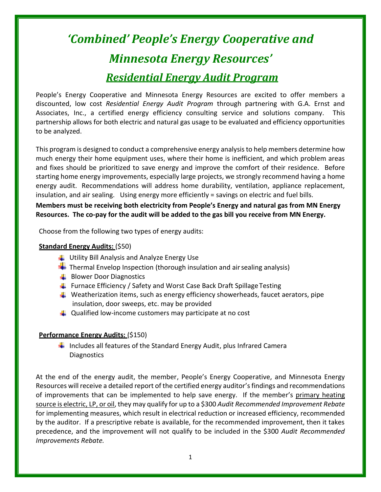## *'Combined' People's Energy Cooperative and Minnesota Energy Resources' Residential Energy Audit Program*

People's Energy Cooperative and Minnesota Energy Resources are excited to offer members a discounted, low cost *Residential Energy Audit Program* through partnering with G.A. Ernst and Associates, Inc., a certified energy efficiency consulting service and solutions company. This partnership allows for both electric and natural gas usage to be evaluated and efficiency opportunities to be analyzed.

This program is designed to conduct a comprehensive energy analysisto help members determine how much energy their home equipment uses, where their home is inefficient, and which problem areas and fixes should be prioritized to save energy and improve the comfort of their residence. Before starting home energy improvements, especially large projects, we strongly recommend having a home energy audit. Recommendations will address home durability, ventilation, appliance replacement, insulation, and air sealing. Using energy more efficiently = savings on electric and fuel bills.

**Members must be receiving both electricity from People's Energy and natural gas from MN Energy Resources. The co-pay for the audit will be added to the gas bill you receive from MN Energy.**

Choose from the following two types of energy audits:

## **Standard Energy Audits:** (\$50)

- **Utility Bill Analysis and Analyze Energy Use**
- $\blacksquare$  Thermal Envelop Inspection (thorough insulation and air sealing analysis)
- **Blower Door Diagnostics**
- $\downarrow$  Furnace Efficiency / Safety and Worst Case Back Draft Spillage Testing
- **Weatherization items, such as energy efficiency showerheads, faucet aerators, pipe** insulation, door sweeps, etc. may be provided
- $\downarrow$  Qualified low-income customers may participate at no cost

## **Performance Energy Audits:** (\$150)

 $\ddot{+}$  Includes all features of the Standard Energy Audit, plus Infrared Camera **Diagnostics** 

At the end of the energy audit, the member, People's Energy Cooperative, and Minnesota Energy Resources will receive a detailed report of the certified energy auditor's findings and recommendations of improvements that can be implemented to help save energy. If the member's primary heating source is electric, LP, or oil, they may qualify for up to a \$300 *Audit Recommended Improvement Rebate* for implementing measures, which result in electrical reduction or increased efficiency, recommended by the auditor. If a prescriptive rebate is available, for the recommended improvement, then it takes precedence, and the improvement will not qualify to be included in the \$300 *Audit Recommended Improvements Rebate.*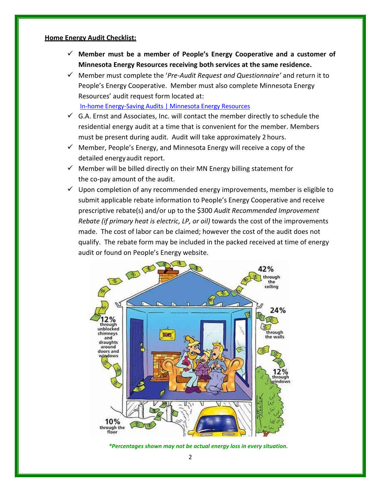## **Home Energy Audit Checklist:**

- ✓ **Member must be a member of People's Energy Cooperative and a customer of Minnesota Energy Resources receiving both services at the same residence.**
- ✓ Member must complete the '*Pre-Audit Request and Questionnaire'* and return it to People's Energy Cooperative. Member must also complete Minnesota Energy Resources' audit request form located at: [In-home Energy-Saving Audits | Minnesota Energy Resources](https://www.minnesotaenergyresources.com/savings/audits)
- $\checkmark$  G.A. Ernst and Associates, Inc. will contact the member directly to schedule the residential energy audit at a time that is convenient for the member. Members must be present during audit. Audit will take approximately 2 hours.
- $\checkmark$  Member, People's Energy, and Minnesota Energy will receive a copy of the detailed energyaudit report.
- $\checkmark$  Member will be billed directly on their MN Energy billing statement for the co-pay amount of the audit.
- $\checkmark$  Upon completion of any recommended energy improvements, member is eligible to submit applicable rebate information to People's Energy Cooperative and receive prescriptive rebate(s) and/or up to the \$300 *Audit Recommended Improvement Rebate (if primary heat is electric, LP, or oil)* towards the cost of the improvements made. The cost of labor can be claimed; however the cost of the audit does not qualify. The rebate form may be included in the packed received at time of energy audit or found on People's Energy website.



*\*Percentages shown may not be actual energy loss in every situation.*